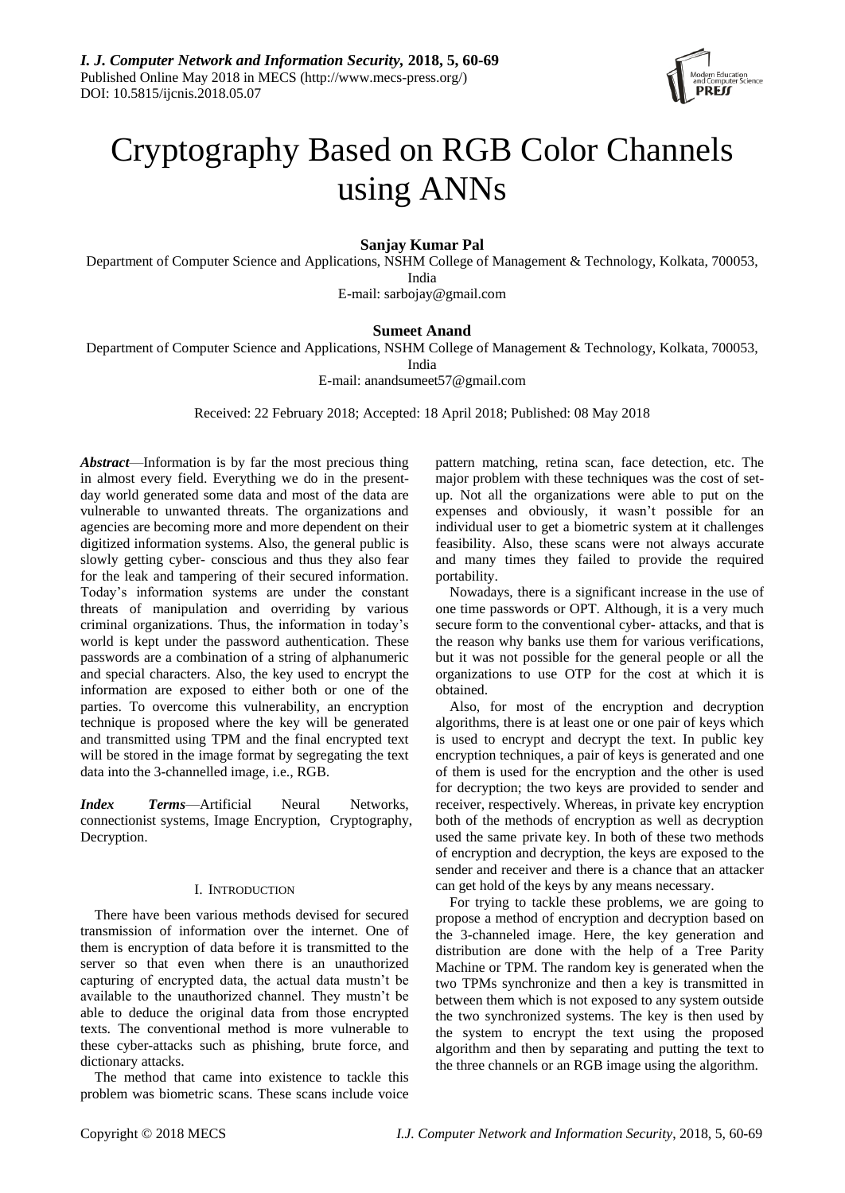

# Cryptography Based on RGB Color Channels using ANNs

# **Sanjay Kumar Pal**

Department of Computer Science and Applications, NSHM College of Management & Technology, Kolkata, 700053, India

E-mail: sarbojay@gmail.com

# **Sumeet Anand**

Department of Computer Science and Applications, NSHM College of Management & Technology, Kolkata, 700053,

India

E-mail: anandsumeet57@gmail.com

Received: 22 February 2018; Accepted: 18 April 2018; Published: 08 May 2018

*Abstract*—Information is by far the most precious thing in almost every field. Everything we do in the presentday world generated some data and most of the data are vulnerable to unwanted threats. The organizations and agencies are becoming more and more dependent on their digitized information systems. Also, the general public is slowly getting cyber- conscious and thus they also fear for the leak and tampering of their secured information. Today's information systems are under the constant threats of manipulation and overriding by various criminal organizations. Thus, the information in today's world is kept under the password authentication. These passwords are a combination of a string of alphanumeric and special characters. Also, the key used to encrypt the information are exposed to either both or one of the parties. To overcome this vulnerability, an encryption technique is proposed where the key will be generated and transmitted using TPM and the final encrypted text will be stored in the image format by segregating the text data into the 3-channelled image, i.e., RGB.

*Index Terms*—Artificial Neural Networks, connectionist systems, Image Encryption, Cryptography, Decryption.

# I. INTRODUCTION

There have been various methods devised for secured transmission of information over the internet. One of them is encryption of data before it is transmitted to the server so that even when there is an unauthorized capturing of encrypted data, the actual data mustn't be available to the unauthorized channel. They mustn't be able to deduce the original data from those encrypted texts. The conventional method is more vulnerable to these cyber-attacks such as phishing, brute force, and dictionary attacks.

The method that came into existence to tackle this problem was biometric scans. These scans include voice

pattern matching, retina scan, face detection, etc. The major problem with these techniques was the cost of setup. Not all the organizations were able to put on the expenses and obviously, it wasn't possible for an individual user to get a biometric system at it challenges feasibility. Also, these scans were not always accurate and many times they failed to provide the required portability.

Nowadays, there is a significant increase in the use of one time passwords or OPT. Although, it is a very much secure form to the conventional cyber- attacks, and that is the reason why banks use them for various verifications, but it was not possible for the general people or all the organizations to use OTP for the cost at which it is obtained.

Also, for most of the encryption and decryption algorithms, there is at least one or one pair of keys which is used to encrypt and decrypt the text. In public key encryption techniques, a pair of keys is generated and one of them is used for the encryption and the other is used for decryption; the two keys are provided to sender and receiver, respectively. Whereas, in private key encryption both of the methods of encryption as well as decryption used the same private key. In both of these two methods of encryption and decryption, the keys are exposed to the sender and receiver and there is a chance that an attacker can get hold of the keys by any means necessary.

For trying to tackle these problems, we are going to propose a method of encryption and decryption based on the 3-channeled image. Here, the key generation and distribution are done with the help of a Tree Parity Machine or TPM. The random key is generated when the two TPMs synchronize and then a key is transmitted in between them which is not exposed to any system outside the two synchronized systems. The key is then used by the system to encrypt the text using the proposed algorithm and then by separating and putting the text to the three channels or an RGB image using the algorithm.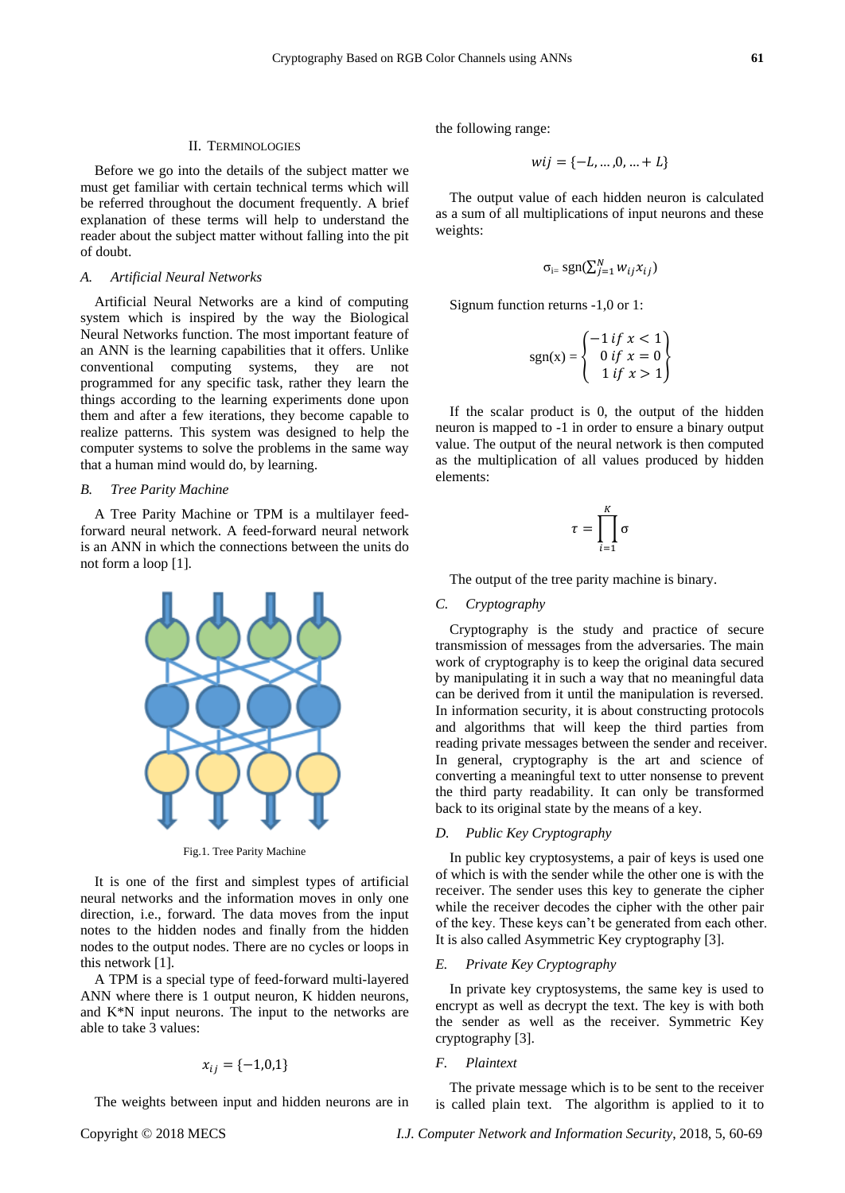Before we go into the details of the subject matter we must get familiar with certain technical terms which will be referred throughout the document frequently. A brief explanation of these terms will help to understand the reader about the subject matter without falling into the pit of doubt.

#### *A. Artificial Neural Networks*

Artificial Neural Networks are a kind of computing system which is inspired by the way the Biological Neural Networks function. The most important feature of an ANN is the learning capabilities that it offers. Unlike conventional computing systems, they are not programmed for any specific task, rather they learn the things according to the learning experiments done upon them and after a few iterations, they become capable to realize patterns. This system was designed to help the computer systems to solve the problems in the same way that a human mind would do, by learning.

# *B. Tree Parity Machine*

A Tree Parity Machine or TPM is a multilayer feedforward neural network. A feed-forward neural network is an ANN in which the connections between the units do not form a loop [1].



Fig.1. Tree Parity Machine

It is one of the first and simplest types of artificial neural networks and the information moves in only one direction, i.e., forward. The data moves from the input notes to the hidden nodes and finally from the hidden nodes to the output nodes. There are no cycles or loops in this network [1].

A TPM is a special type of feed-forward multi-layered ANN where there is 1 output neuron, K hidden neurons, and K\*N input neurons. The input to the networks are able to take 3 values:

$$
x_{ij} = \{-1,0,1\}
$$

The weights between input and hidden neurons are in

the following range:

$$
wij = \{-L, ..., 0, ... + L\}
$$

The output value of each hidden neuron is calculated as a sum of all multiplications of input neurons and these weights:

$$
\sigma_{i=} \operatorname{sgn}(\sum_{j=1}^{N} w_{ij} x_{ij})
$$

Signum function returns -1,0 or 1:

$$
sgn(x) = \begin{cases} -1 & \text{if } x < 1 \\ 0 & \text{if } x = 0 \\ 1 & \text{if } x > 1 \end{cases}
$$

If the scalar product is 0, the output of the hidden neuron is mapped to -1 in order to ensure a binary output value. The output of the neural network is then computed as the multiplication of all values produced by hidden elements:

$$
\tau = \prod_{i=1}^K \sigma
$$

The output of the tree parity machine is binary.

# *C. Cryptography*

Cryptography is the study and practice of secure transmission of messages from the adversaries. The main work of cryptography is to keep the original data secured by manipulating it in such a way that no meaningful data can be derived from it until the manipulation is reversed. In information security, it is about constructing protocols and algorithms that will keep the third parties from reading private messages between the sender and receiver. In general, cryptography is the art and science of converting a meaningful text to utter nonsense to prevent the third party readability. It can only be transformed back to its original state by the means of a key.

# *D. Public Key Cryptography*

In public key cryptosystems, a pair of keys is used one of which is with the sender while the other one is with the receiver. The sender uses this key to generate the cipher while the receiver decodes the cipher with the other pair of the key. These keys can't be generated from each other. It is also called Asymmetric Key cryptography [3].

#### *E. Private Key Cryptography*

In private key cryptosystems, the same key is used to encrypt as well as decrypt the text. The key is with both the sender as well as the receiver. Symmetric Key cryptography [3].

#### *F. Plaintext*

The private message which is to be sent to the receiver is called plain text. The algorithm is applied to it to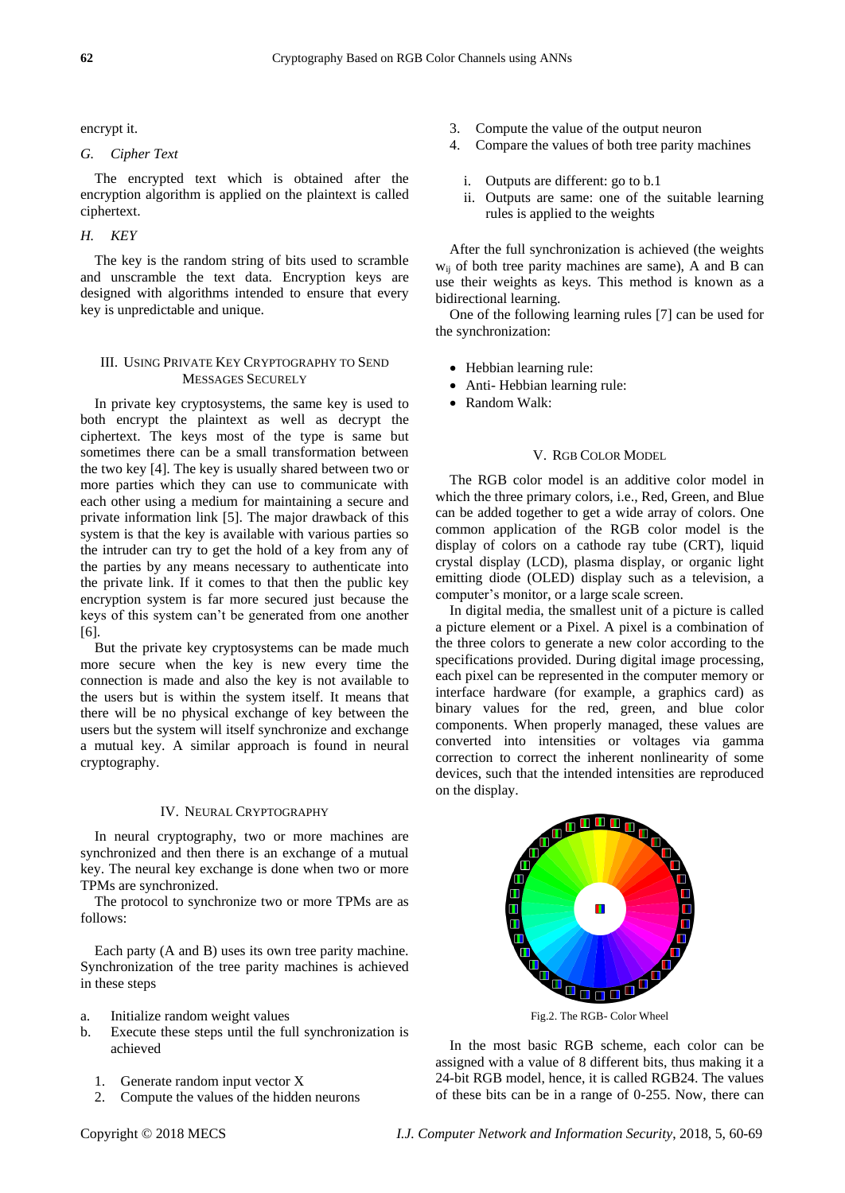encrypt it.

#### *G. Cipher Text*

The encrypted text which is obtained after the encryption algorithm is applied on the plaintext is called ciphertext.

# *H. KEY*

The key is the random string of bits used to scramble and unscramble the text data. Encryption keys are designed with algorithms intended to ensure that every key is unpredictable and unique.

# III. USING PRIVATE KEY CRYPTOGRAPHY TO SEND MESSAGES SECURELY

In private key cryptosystems, the same key is used to both encrypt the plaintext as well as decrypt the ciphertext. The keys most of the type is same but sometimes there can be a small transformation between the two key [4]. The key is usually shared between two or more parties which they can use to communicate with each other using a medium for maintaining a secure and private information link [5]. The major drawback of this system is that the key is available with various parties so the intruder can try to get the hold of a key from any of the parties by any means necessary to authenticate into the private link. If it comes to that then the public key encryption system is far more secured just because the keys of this system can't be generated from one another [6].

But the private key cryptosystems can be made much more secure when the key is new every time the connection is made and also the key is not available to the users but is within the system itself. It means that there will be no physical exchange of key between the users but the system will itself synchronize and exchange a mutual key. A similar approach is found in neural cryptography.

# IV. NEURAL CRYPTOGRAPHY

In neural cryptography, two or more machines are synchronized and then there is an exchange of a mutual key. The neural key exchange is done when two or more TPMs are synchronized.

The protocol to synchronize two or more TPMs are as follows:

Each party (A and B) uses its own tree parity machine. Synchronization of the tree parity machines is achieved in these steps

- a. Initialize random weight values
- b. Execute these steps until the full synchronization is achieved
	- 1. Generate random input vector X
	- 2. Compute the values of the hidden neurons
- 3. Compute the value of the output neuron
- 4. Compare the values of both tree parity machines
	- i. Outputs are different: go to b.1
	- ii. Outputs are same: one of the suitable learning rules is applied to the weights

After the full synchronization is achieved (the weights wij of both tree parity machines are same), A and B can use their weights as keys. This method is known as a bidirectional learning.

One of the following learning rules [7] can be used for the synchronization:

- Hebbian learning rule:
- Anti- Hebbian learning rule:
- Random Walk:

# V. RGB COLOR MODEL

The RGB color model is an additive color model in which the three primary colors, i.e., Red, Green, and Blue can be added together to get a wide array of colors. One common application of the RGB color model is the display of colors on a cathode ray tube (CRT), liquid crystal display (LCD), plasma display, or organic light emitting diode (OLED) display such as a television, a computer's monitor, or a large scale screen.

In digital media, the smallest unit of a picture is called a picture element or a Pixel. A pixel is a combination of the three colors to generate a new color according to the specifications provided. During digital image processing, each pixel can be represented in the computer memory or interface hardware (for example, a graphics card) as binary values for the red, green, and blue color components. When properly managed, these values are converted into intensities or voltages via gamma correction to correct the inherent nonlinearity of some devices, such that the intended intensities are reproduced on the display.



Fig.2. The RGB- Color Wheel

In the most basic RGB scheme, each color can be assigned with a value of 8 different bits, thus making it a 24-bit RGB model, hence, it is called RGB24. The values of these bits can be in a range of 0-255. Now, there can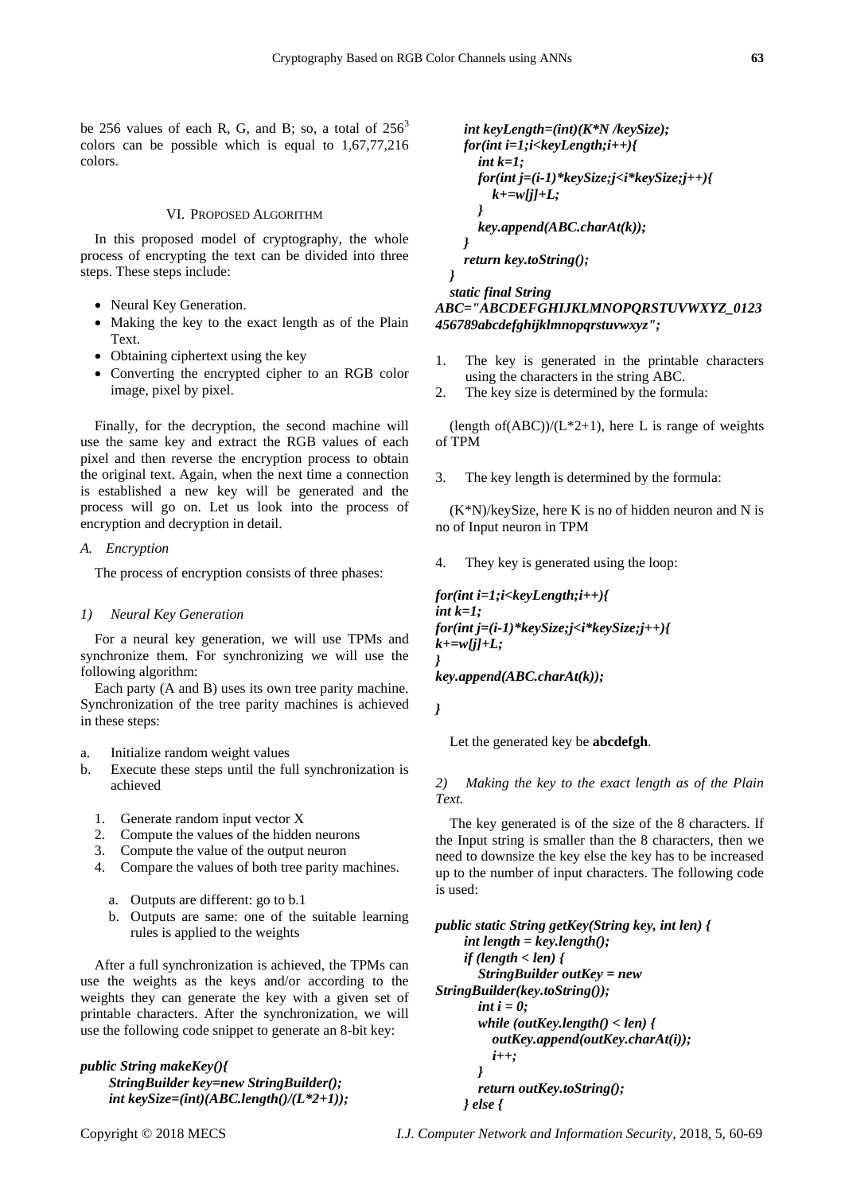be 256 values of each R, G, and B; so, a total of  $256<sup>3</sup>$ colors can be possible which is equal to 1,67,77,216 colors.

#### VI. PROPOSED ALGORITHM

In this proposed model of cryptography, the whole process of encrypting the text can be divided into three steps. These steps include:

- Neural Key Generation.
- Making the key to the exact length as of the Plain Text.
- Obtaining ciphertext using the key
- Converting the encrypted cipher to an RGB color image, pixel by pixel.

Finally, for the decryption, the second machine will use the same key and extract the RGB values of each pixel and then reverse the encryption process to obtain the original text. Again, when the next time a connection is established a new key will be generated and the process will go on. Let us look into the process of encryption and decryption in detail.

#### *A. Encryption*

The process of encryption consists of three phases:

#### *1) Neural Key Generation*

For a neural key generation, we will use TPMs and synchronize them. For synchronizing we will use the following algorithm:

Each party (A and B) uses its own tree parity machine. Synchronization of the tree parity machines is achieved in these steps:

- a. Initialize random weight values
- b. Execute these steps until the full synchronization is achieved
	- 1. Generate random input vector X
	- 2. Compute the values of the hidden neurons
	- 3. Compute the value of the output neuron
	- 4. Compare the values of both tree parity machines.
		- a. Outputs are different: go to b.1
		- b. Outputs are same: one of the suitable learning rules is applied to the weights

After a full synchronization is achieved, the TPMs can use the weights as the keys and/or according to the weights they can generate the key with a given set of printable characters. After the synchronization, we will use the following code snippet to generate an 8-bit key:

*public String makeKey(){ StringBuilder key=new StringBuilder(); int keySize=(int)(ABC.length()/(L\*2+1));*

```
 int keyLength=(int)(K*N /keySize);
     for(int i=1;i<keyLength;i++){
       int k=1;
       for(int j=(i-1)*keySize;j<i*keySize;j++){
          k+=w[j]+L;
 }
       key.append(ABC.charAt(k)); 
     }
     return key.toString();
 }
```
 *static final String ABC="ABCDEFGHIJKLMNOPQRSTUVWXYZ\_0123 456789abcdefghijklmnopqrstuvwxyz";*

- 1. The key is generated in the printable characters using the characters in the string ABC.
- 2. The key size is determined by the formula:

(length of(ABC))/( $L*2+1$ ), here L is range of weights of TPM

3. The key length is determined by the formula:

 $(K*N)/keySize$ , here K is no of hidden neuron and N is no of Input neuron in TPM

4. They key is generated using the loop:

*for(int i=1;i<keyLength;i++){ int k=1; for(int j=(i-1)\*keySize;j<i\*keySize;j++){ k+=w[j]+L; }*

*key.append(ABC.charAt(k));*

*}*

Let the generated key be **abcdefgh**.

*2) Making the key to the exact length as of the Plain Text.*

The key generated is of the size of the 8 characters. If the Input string is smaller than the 8 characters, then we need to downsize the key else the key has to be increased up to the number of input characters. The following code is used:

```
public static String getKey(String key, int len) {
      int length = key.length();
      if (length < len) {
        StringBuilder outKey = new 
StringBuilder(key.toString());
        int i = 0;
        while (outKey.length() < len) {
           outKey.append(outKey.charAt(i));
           i++;
 }
        return outKey.toString();
      } else {
```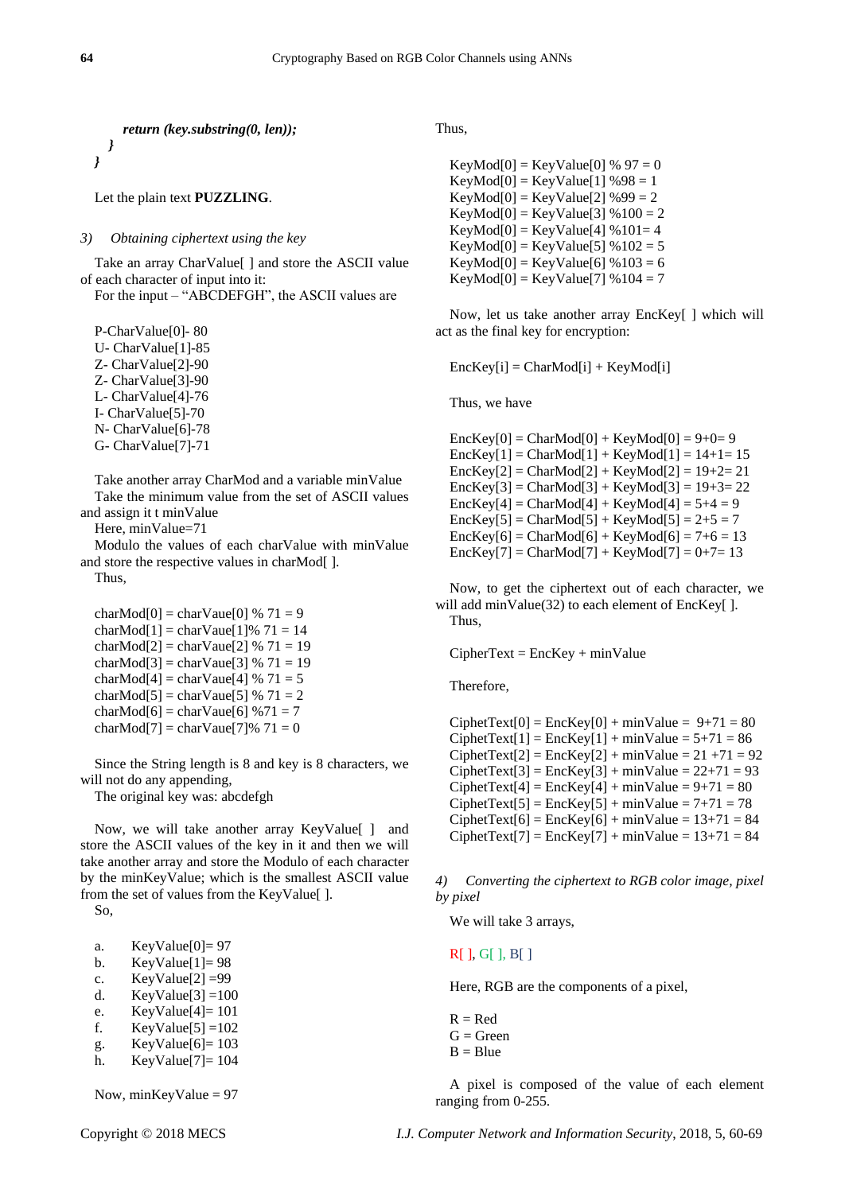*return (key.substring(0, len)); } }*

# Let the plain text **PUZZLING**.

*3) Obtaining ciphertext using the key*

Take an array CharValue[ ] and store the ASCII value of each character of input into it:

For the input – "ABCDEFGH", the ASCII values are

P-CharValue[0]- 80 U- CharValue[1]-85 Z- CharValue[2]-90 Z- CharValue[3]-90 L- CharValue[4]-76 I- CharValue[5]-70 N- CharValue[6]-78 G- CharValue[7]-71

Take another array CharMod and a variable minValue Take the minimum value from the set of ASCII values and assign it t minValue

Here, minValue=71

Modulo the values of each charValue with minValue and store the respective values in charMod[ ]. Thus,

charMod $[0]$  = charVaue $[0]$  % 71 = 9 charMod[1] = charVaue[1]%  $71 = 14$ charMod[2] = charVaue[2] %  $71 = 19$ charMod $[3]$  = charVaue $[3]$  % 71 = 19 charMod[4] = charVaue[4] % 71 = 5 charMod[5] = charVaue[5] %  $71 = 2$ charMod $[6]$  = charVaue $[6]$  % $71 = 7$ charMod[7] = charVaue[7]%  $71 = 0$ 

Since the String length is 8 and key is 8 characters, we will not do any appending,

The original key was: abcdefgh

Now, we will take another array KeyValue[ ] and store the ASCII values of the key in it and then we will take another array and store the Modulo of each character by the minKeyValue; which is the smallest ASCII value from the set of values from the KeyValue[ ].

So,

| a. | KeyValue $[0]$ = 97 |  |
|----|---------------------|--|
|----|---------------------|--|

- b. KeyValue $[1] = 98$
- c.  $KeyValue[2] = 99$
- d. KeyValue $[3] = 100$
- e. KeyValue[4]= 101
- f. KeyValue $[5] = 102$
- g. KeyValue $[6] = 103$
- h. KeyValue[7]= 104

Now,  $minKeyValue = 97$ 

Thus,

 $KeyMod[0] = KeyValue[0] % 97 = 0$  $KeyMod[0] = KeyValue[1] %98 = 1$  $KeyMod[0] = KeyValue[2] %99 = 2$  $KeyMod[0] = KeyValue[3] % 100 = 2$  $KeyMod[0] = KeyValue[4] % 101 = 4$  $KeyMod[0] = KeyValue[5] % 102 = 5$  $KeyMod[0] = KeyValue[6] % 103 = 6$  $KeyMod[0] = KeyValue[7] % 104 = 7$ 

Now, let us take another array EncKey[ ] which will act as the final key for encryption:

 $EncKey[i] = CharMod[i] + KeyMod[i]$ 

Thus, we have

 $EncKey[0] = CharMod[0] + KeyMod[0] = 9+0=9$  $EncKey[1] = CharMod[1] + KeyMod[1] = 14+1= 15$  $EncKey[2] = CharMod[2] + KeyMod[2] = 19 + 2 = 21$  $EncKey[3] = CharMod[3] + KeyMod[3] = 19 + 3 = 22$  $EncKey[4] = CharMod[4] + KeyMod[4] = 5+4 = 9$  $EncKey[5] = CharMod[5] + KeyMod[5] = 2+5 = 7$  $EncKey[6] = CharMod[6] + KeyMod[6] = 7+6 = 13$  $EncKey[7] = CharMod[7] + KeyMod[7] = 0 + 7 = 13$ 

Now, to get the ciphertext out of each character, we will add minValue(32) to each element of EncKey[ ]. Thus,

 $Ciphertext = EncKey + minValue$ 

Therefore,

 $CiphetText[0] = EncKey[0] + minValue = 9+71 = 80$  $CiphetText[1] = EncKey[1] + minValue = 5+71 = 86$  $CiphetText[2] = EncKey[2] + minValue = 21 + 71 = 92$  $Ciphertext[3] = EncKey[3] + minValue = 22 + 71 = 93$  $Ciphertext[4] = EncKey[4] + minValue = 9 + 71 = 80$  $Ciphertext[5] = EncKey[5] + minValue = 7+71 = 78$  $Ciphertext[6] = EncKey[6] + minValue = 13+71 = 84$  $Ciphertext[7] = EncKey[7] + minValue = 13 + 71 = 84$ 

*4) Converting the ciphertext to RGB color image, pixel by pixel*

We will take 3 arrays,

R[ ], G[ ], B[ ]

Here, RGB are the components of a pixel,

 $R - R$ ed  $G = Green$  $B = Blue$ 

A pixel is composed of the value of each element ranging from 0-255.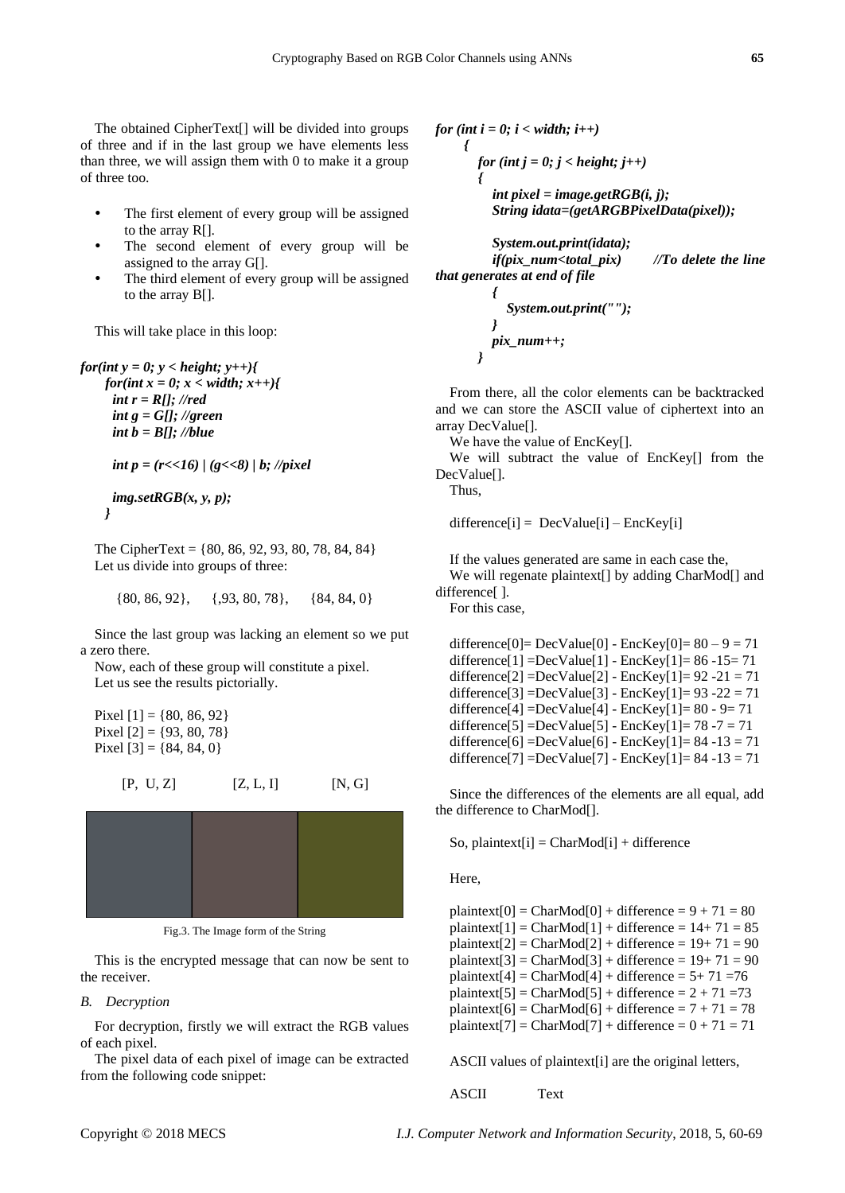The obtained CipherText[] will be divided into groups of three and if in the last group we have elements less than three, we will assign them with 0 to make it a group of three too.

- The first element of every group will be assigned to the array R[].
- The second element of every group will be assigned to the array G[].
- The third element of every group will be assigned to the array B[].

This will take place in this loop:

*for(int y = 0; y < height; y++){ for(int x = 0; x < width; x++){ int r = R[]; //red int g = G[]; //green int b = B[]; //blue int p = (r<<16) | (g<<8) | b; //pixel*

> *img.setRGB(x, y, p); }*

The CipherText = {80, 86, 92, 93, 80, 78, 84, 84} Let us divide into groups of three:

 $\{80, 86, 92\}, \{93, 80, 78\}, \{84, 84, 0\}$ 

Since the last group was lacking an element so we put a zero there.

Now, each of these group will constitute a pixel. Let us see the results pictorially.

Pixel  $[1] = \{80, 86, 92\}$ Pixel  $[2] = \{93, 80, 78\}$ Pixel  $[3] = \{84, 84, 0\}$ 

$$
[P, U, Z] \qquad [Z, L, I] \qquad [N, G]
$$



Fig.3. The Image form of the String

This is the encrypted message that can now be sent to the receiver.

# *B. Decryption*

For decryption, firstly we will extract the RGB values of each pixel.

The pixel data of each pixel of image can be extracted from the following code snippet:

*for (int i = 0; i < width; i++) { for* (*int j = 0; j < height; j++*)  *{ int pixel = image.getRGB(i, j); String idata=(getARGBPixelData(pixel));*

 *System.out.print(idata); if(pix\_num<total\_pix) //To delete the line that generates at end of file*

 *{ System.out.print(""); } pix\_num++; }*

From there, all the color elements can be backtracked and we can store the ASCII value of ciphertext into an array DecValue[].

We have the value of EncKey[].

We will subtract the value of EncKey[] from the DecValue[].

Thus,

 $difference[i] = DecValue[i] - EncKey[i]$ 

If the values generated are same in each case the, We will regenate plaintext[] by adding CharMod[] and

difference[ ].

For this case,

difference $[0]$  = DecValue $[0]$  - EncKey $[0]$  = 80 – 9 = 71 difference $[1]$  =DecValue $[1]$  - EncKey $[1]$  = 86 -15 = 71 difference<sup>[2]</sup> =DecValue<sup>[2]</sup> - EncKey<sup>[1]</sup> = 92 -21 = 71 difference[3] =DecValue[3] -  $EncKey[1] = 93 - 22 = 71$ difference $[4]$  =DecValue $[4]$  - EncKey $[1]$ = 80 - 9= 71 difference[5] =DecValue[5] - EncKey[1] =  $78 - 7 = 71$ difference[6] =DecValue[6] - EncKey[1]=  $84 - 13 = 71$ difference[7] =DecValue[7] - EncKey[1]=  $84 - 13 = 71$ 

Since the differences of the elements are all equal, add the difference to CharMod[].

So, plaintext[i] =  $CharMod[i]$  + difference

Here,

 $p$ laintext $[0] = CharMod[0] + difference = 9 + 71 = 80$ plaintext[1] = CharMod[1] + difference =  $14+71 = 85$  $plaintext[2] = CharMod[2] + difference = 19 + 71 = 90$  $plaintext[3] = CharMod[3] + difference = 19 + 71 = 90$ plaintext[4] = CharMod[4] + difference =  $5+71=76$ plaintext[5] = CharMod[5] + difference =  $2 + 71 = 73$ plaintext[6] = CharMod[6] + difference =  $7 + 71 = 78$ plaintext[7] =  $CharMod[7] + difference = 0 + 71 = 71$ 

ASCII values of plaintext[i] are the original letters,

ASCII Text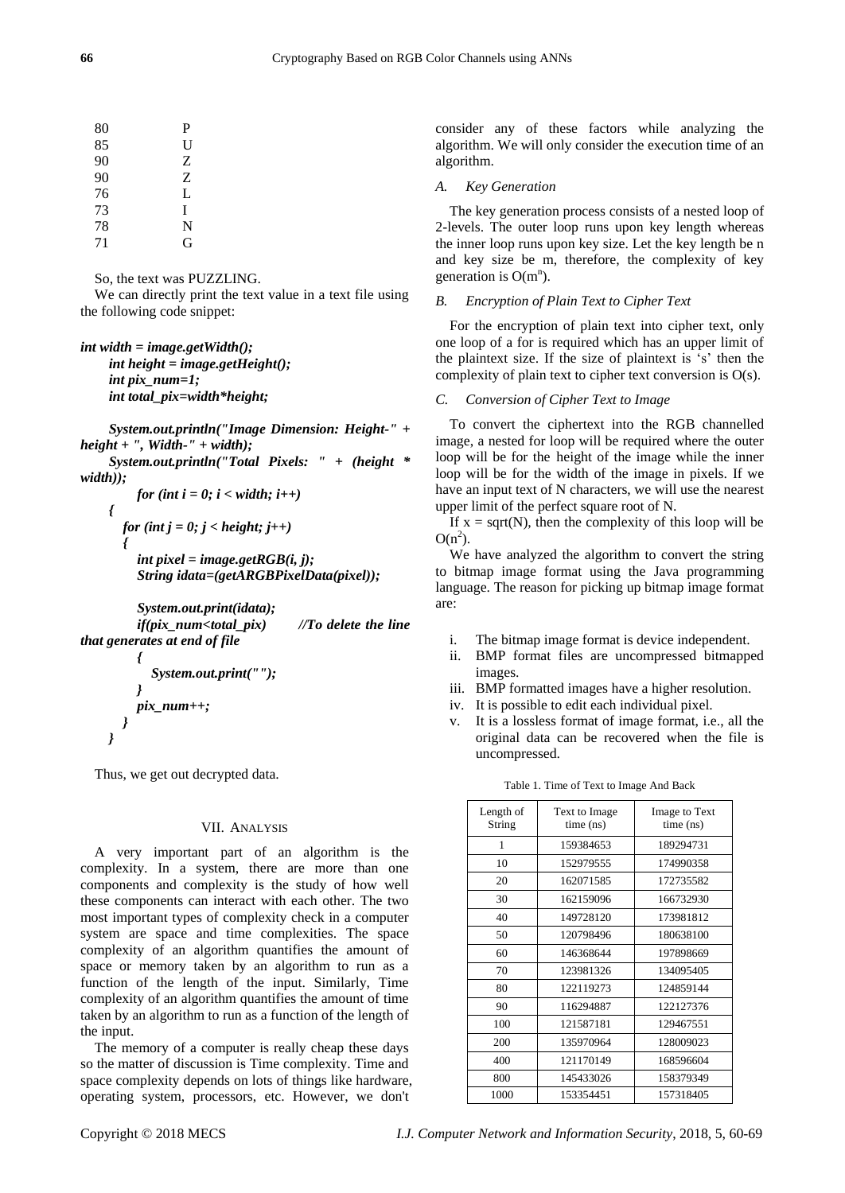| P |
|---|
| U |
| Z |
| Z |
| L |
| I |
| N |
| G |
|   |

So, the text was PUZZLING.

We can directly print the text value in a text file using the following code snippet:

*int width = image.getWidth(); int height = image.getHeight(); int pix\_num=1; int total\_pix=width\*height;*

 *System.out.println("Image Dimension: Height-" + height + ", Width-" + width);*

 *System.out.println("Total Pixels: " + (height \* width));*

$$
for (int i = 0; i < width; i++)
$$
\n
$$
\begin{cases}\nfor (int j = 0; j < height; j++) \\
\text{int pixel} = image.getRGB(i, j); \\
String idata = (getARGBPixellData(pixel));\n\end{cases}
$$

 *System.out.print(idata); if(pix\_num<total\_pix) //To delete the line that generates at end of file*

$$
\begin{array}{c}\n\{\n\quad System.out.print("");\n\}\n\end{array}
$$
\n
$$
\begin{array}{c}\n\text{pix_number}; \\
\text{if } \\
\text{if } \\
\text{if } \\
\text{if } \\
\text{if } \\
\text{if } \\
\text{if } \\
\text{if } \\
\text{if } \\
\text{if } \\
\text{if } \\
\text{if } \\
\text{if } \\
\text{if } \\
\text{if } \\
\text{if } \\
\text{if } \\
\text{if } \\
\text{if } \\
\text{if } \\
\text{if } \\
\text{if } \\
\text{if } \\
\text{if } \\
\text{if } \\
\text{if } \\
\text{if } \\
\text{if } \\
\text{if } \\
\text{if } \\
\text{if } \\
\text{if } \\
\text{if } \\
\text{if } \\
\text{if } \\
\text{if } \\
\text{if } \\
\text{if } \\
\text{if } \\
\text{if } \\
\text{if } \\
\text{if } \\
\text{if } \\
\text{if } \\
\text{if } \\
\text{if } \\
\text{if } \\
\text{if } \\
\text{if } \\
\text{if } \\
\text{if } \\
\text{if } \\
\text{if } \\
\text{if } \\
\text{if } \\
\text{if } \\
\text{if } \\
\text{if } \\
\text{if } \\
\text{if } \\
\text{if } \\
\text{if } \\
\text{if } \\
\text{if } \\
\text{if } \\
\text{if } \\
\text{if } \\
\text{if } \\
\text{if } \\
\text{if } \\
\text{if } \\
\text{if } \\
\text{if } \\
\text{if } \\
\text{if } \\
\text{if } \\
\text{if } \\
\text{if } \\
\text{if } \\
\text{if } \\
\text{if } \\
\text{if } \\
\text{if } \\
\text{if } \\
\text{if } \\
\text{if } \\
\text{if } \\
\text{if } \\
\text{if } \\
\text{if } \\
\text{if } \\
\text{if } \\
\text{if } \\
\text{if } \\
\text{if } \\
\text{if } \\
\text{if } \\
\text{if } \\
\text{if } \\
\text{if } \\
\text{if } \\
\text{if } \\
\text{if } \\
\text{if } \\
\text{if } \\
\text{if } \\
\text{if } \\
\text{if } \\
\text{if } \\
\text{if } \\
\text{if } \\
\text{if } \\
\text{if } \\
\text{if } \\
\text{if } \\
\text{if } \\
\text{if } \\
\text{if } \\
\
$$

Thus, we get out decrypted data.

 *}*

# VII. ANALYSIS

A very important part of an algorithm is the complexity. In a system, there are more than one components and complexity is the study of how well these components can interact with each other. The two most important types of complexity check in a computer system are space and time complexities. The space complexity of an algorithm quantifies the amount of space or memory taken by an algorithm to run as a function of the length of the input. Similarly, Time complexity of an algorithm quantifies the amount of time taken by an algorithm to run as a function of the length of the input.

The memory of a computer is really cheap these days so the matter of discussion is Time complexity. Time and space complexity depends on lots of things like hardware, operating system, processors, etc. However, we don't

consider any of these factors while analyzing the algorithm. We will only consider the execution time of an algorithm.

#### *A. Key Generation*

The key generation process consists of a nested loop of 2-levels. The outer loop runs upon key length whereas the inner loop runs upon key size. Let the key length be n and key size be m, therefore, the complexity of key generation is  $O(m^n)$ .

# *B. Encryption of Plain Text to Cipher Text*

For the encryption of plain text into cipher text, only one loop of a for is required which has an upper limit of the plaintext size. If the size of plaintext is 's' then the complexity of plain text to cipher text conversion is O(s).

# *C. Conversion of Cipher Text to Image*

To convert the ciphertext into the RGB channelled image, a nested for loop will be required where the outer loop will be for the height of the image while the inner loop will be for the width of the image in pixels. If we have an input text of N characters, we will use the nearest upper limit of the perfect square root of N.

If  $x = \sqrt{N}$ , then the complexity of this loop will be  $O(n^2)$ .

We have analyzed the algorithm to convert the string to bitmap image format using the Java programming language. The reason for picking up bitmap image format are:

- i. The bitmap image format is device independent.
- ii. BMP format files are uncompressed bitmapped images.
- iii. BMP formatted images have a higher resolution.
- iv. It is possible to edit each individual pixel.
- v. It is a lossless format of image format, i.e., all the original data can be recovered when the file is uncompressed.

| Length of<br>String | Text to Image<br>time (ns) | Image to Text<br>time (ns) |
|---------------------|----------------------------|----------------------------|
| 1                   | 159384653                  | 189294731                  |
| 10                  | 152979555                  | 174990358                  |
| 20                  | 162071585                  | 172735582                  |
| 30                  | 162159096                  | 166732930                  |
| 40                  | 149728120                  | 173981812                  |
| 50                  | 120798496                  | 180638100                  |
| 60                  | 146368644                  | 197898669                  |
| 70                  | 123981326                  | 134095405                  |
| 80                  | 122119273                  | 124859144                  |
| 90                  | 116294887                  | 122127376                  |
| 100                 | 121587181                  | 129467551                  |
| 200                 | 135970964                  | 128009023                  |
| 400                 | 121170149                  | 168596604                  |
| 800                 | 145433026                  | 158379349                  |
| 1000                | 153354451                  | 157318405                  |

Table 1. Time of Text to Image And Back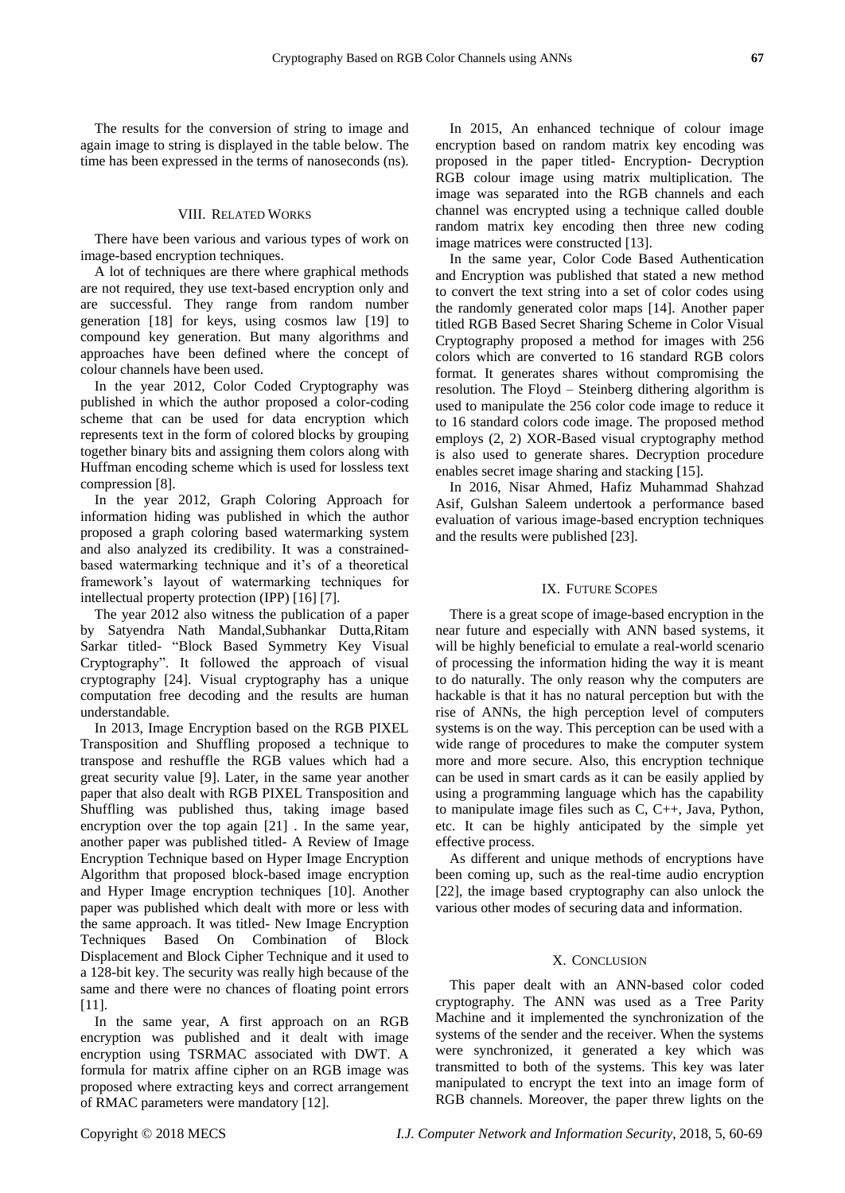The results for the conversion of string to image and again image to string is displayed in the table below. The time has been expressed in the terms of nanoseconds (ns).

#### VIII. RELATED WORKS

There have been various and various types of work on image-based encryption techniques.

A lot of techniques are there where graphical methods are not required, they use text-based encryption only and are successful. They range from random number generation [18] for keys, using cosmos law [19] to compound key generation. But many algorithms and approaches have been defined where the concept of colour channels have been used.

In the year 2012, Color Coded Cryptography was published in which the author proposed a color-coding scheme that can be used for data encryption which represents text in the form of colored blocks by grouping together binary bits and assigning them colors along with Huffman encoding scheme which is used for lossless text compression [8].

In the year 2012, Graph Coloring Approach for information hiding was published in which the author proposed a graph coloring based watermarking system and also analyzed its credibility. It was a constrainedbased watermarking technique and it's of a theoretical framework's layout of watermarking techniques for intellectual property protection (IPP) [16] [7].

The year 2012 also witness the publication of a paper by Satyendra Nath Mandal,Subhankar Dutta,Ritam Sarkar titled- "Block Based Symmetry Key Visual Cryptography". It followed the approach of visual cryptography [24]. Visual cryptography has a unique computation free decoding and the results are human understandable.

In 2013, Image Encryption based on the RGB PIXEL Transposition and Shuffling proposed a technique to transpose and reshuffle the RGB values which had a great security value [9]. Later, in the same year another paper that also dealt with RGB PIXEL Transposition and Shuffling was published thus, taking image based encryption over the top again [21] . In the same year, another paper was published titled- A Review of Image Encryption Technique based on Hyper Image Encryption Algorithm that proposed block-based image encryption and Hyper Image encryption techniques [10]. Another paper was published which dealt with more or less with the same approach. It was titled- New Image Encryption Techniques Based On Combination of Block Displacement and Block Cipher Technique and it used to a 128-bit key. The security was really high because of the same and there were no chances of floating point errors [11].

In the same year, A first approach on an RGB encryption was published and it dealt with image encryption using TSRMAC associated with DWT. A formula for matrix affine cipher on an RGB image was proposed where extracting keys and correct arrangement of RMAC parameters were mandatory [12].

In 2015, An enhanced technique of colour image encryption based on random matrix key encoding was proposed in the paper titled- Encryption- Decryption RGB colour image using matrix multiplication. The image was separated into the RGB channels and each channel was encrypted using a technique called double random matrix key encoding then three new coding image matrices were constructed [13].

In the same year, Color Code Based Authentication and Encryption was published that stated a new method to convert the text string into a set of color codes using the randomly generated color maps [14]. Another paper titled RGB Based Secret Sharing Scheme in Color Visual Cryptography proposed a method for images with 256 colors which are converted to 16 standard RGB colors format. It generates shares without compromising the resolution. The Floyd – Steinberg dithering algorithm is used to manipulate the 256 color code image to reduce it to 16 standard colors code image. The proposed method employs (2, 2) XOR-Based visual cryptography method is also used to generate shares. Decryption procedure enables secret image sharing and stacking [15].

In 2016, Nisar Ahmed, Hafiz Muhammad Shahzad Asif, Gulshan Saleem undertook a performance based evaluation of various image-based encryption techniques and the results were published [23].

#### IX. FUTURE SCOPES

There is a great scope of image-based encryption in the near future and especially with ANN based systems, it will be highly beneficial to emulate a real-world scenario of processing the information hiding the way it is meant to do naturally. The only reason why the computers are hackable is that it has no natural perception but with the rise of ANNs, the high perception level of computers systems is on the way. This perception can be used with a wide range of procedures to make the computer system more and more secure. Also, this encryption technique can be used in smart cards as it can be easily applied by using a programming language which has the capability to manipulate image files such as C, C++, Java, Python, etc. It can be highly anticipated by the simple yet effective process.

As different and unique methods of encryptions have been coming up, such as the real-time audio encryption [22], the image based cryptography can also unlock the various other modes of securing data and information.

#### X. CONCLUSION

This paper dealt with an ANN-based color coded cryptography. The ANN was used as a Tree Parity Machine and it implemented the synchronization of the systems of the sender and the receiver. When the systems were synchronized, it generated a key which was transmitted to both of the systems. This key was later manipulated to encrypt the text into an image form of RGB channels. Moreover, the paper threw lights on the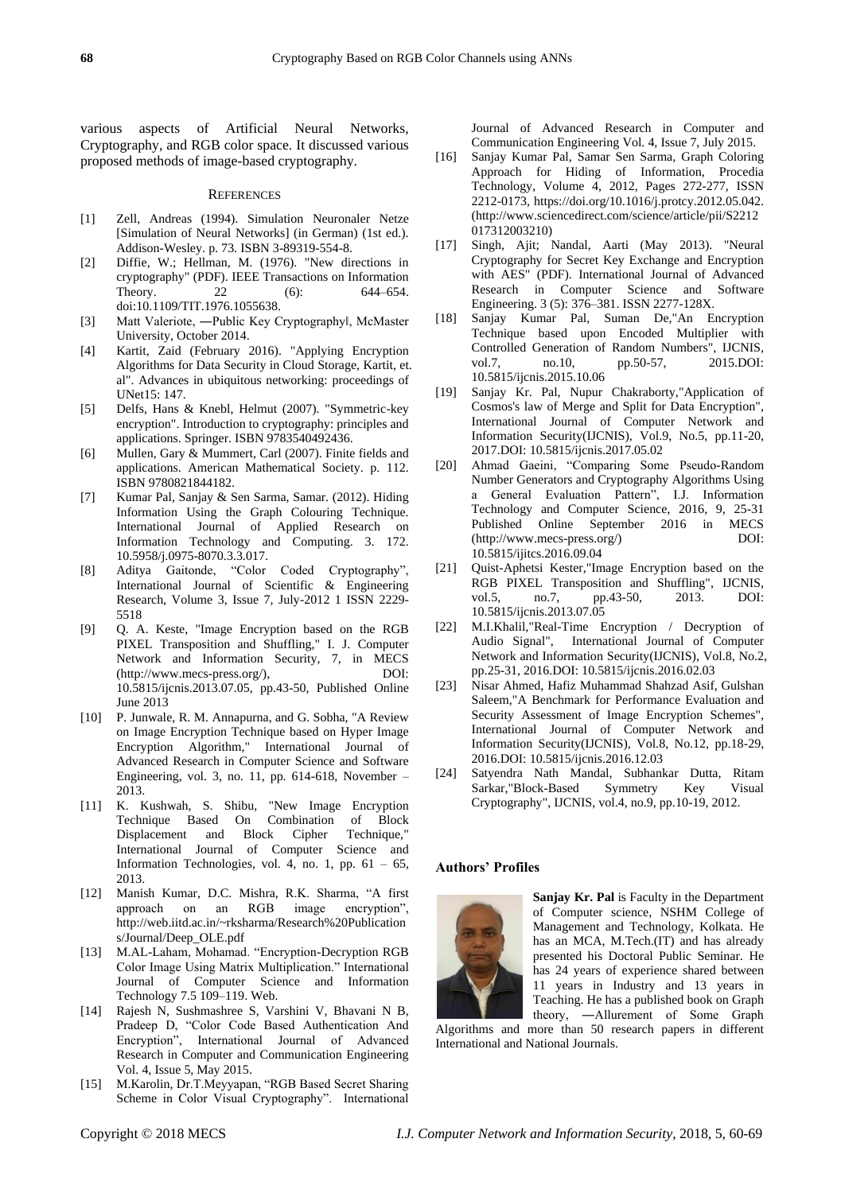various aspects of Artificial Neural Networks, Cryptography, and RGB color space. It discussed various proposed methods of image-based cryptography.

#### **REFERENCES**

- [1] Zell, Andreas (1994). Simulation Neuronaler Netze [Simulation of Neural Networks] (in German) (1st ed.). Addison-Wesley. p. 73. ISBN 3-89319-554-8.
- [2] Diffie, W.; Hellman, M. (1976). "New directions in cryptography" (PDF). IEEE Transactions on Information Theory. 22 (6): 644–654. doi:10.1109/TIT.1976.1055638.
- [3] Matt Valeriote, ―Public Key Cryptography‖, McMaster University, October 2014.
- [4] Kartit, Zaid (February 2016). "Applying Encryption Algorithms for Data Security in Cloud Storage, Kartit, et. al". Advances in ubiquitous networking: proceedings of UNet15: 147.
- [5] Delfs, Hans & Knebl, Helmut (2007). "Symmetric-key encryption". Introduction to cryptography: principles and applications. Springer. ISBN 9783540492436.
- [6] Mullen, Gary & Mummert, Carl (2007). Finite fields and applications. American Mathematical Society. p. 112. ISBN 9780821844182.
- [7] Kumar Pal, Sanjay & Sen Sarma, Samar. (2012). Hiding Information Using the Graph Colouring Technique. International Journal of Applied Research on Information Technology and Computing. 3. 172. 10.5958/j.0975-8070.3.3.017.
- [8] Aditya Gaitonde, "Color Coded Cryptography", International Journal of Scientific & Engineering Research, Volume 3, Issue 7, July-2012 1 ISSN 2229- 5518
- [9] Q. A. Keste, "Image Encryption based on the RGB PIXEL Transposition and Shuffling," I. J. Computer Network and Information Security, 7, in MECS (http://www.mecs-press.org/), DOI: 10.5815/ijcnis.2013.07.05, pp.43-50, Published Online June 2013
- [10] P. Junwale, R. M. Annapurna, and G. Sobha, "A Review on Image Encryption Technique based on Hyper Image Encryption Algorithm," International Journal of Advanced Research in Computer Science and Software Engineering, vol. 3, no. 11, pp. 614-618, November – 2013.
- [11] K. Kushwah, S. Shibu, "New Image Encryption Technique Based On Combination of Block Displacement and Block Cipher Technique," International Journal of Computer Science and Information Technologies, vol. 4, no. 1, pp.  $61 - 65$ , 2013.
- [12] Manish Kumar, D.C. Mishra, R.K. Sharma, "A first approach on an RGB image encryption", http://web.iitd.ac.in/~rksharma/Research%20Publication s/Journal/Deep\_OLE.pdf
- [13] M.AL-Laham, Mohamad. "Encryption-Decryption RGB Color Image Using Matrix Multiplication." International Journal of Computer Science and Information Technology 7.5 109–119. Web.
- [14] Rajesh N, Sushmashree S, Varshini V, Bhavani N B, Pradeep D, "Color Code Based Authentication And Encryption", International Journal of Advanced Research in Computer and Communication Engineering Vol. 4, Issue 5, May 2015.
- [15] M.Karolin, Dr.T.Meyyapan, "RGB Based Secret Sharing Scheme in Color Visual Cryptography". International

Journal of Advanced Research in Computer and Communication Engineering Vol. 4, Issue 7, July 2015.

- [16] Sanjay Kumar Pal, Samar Sen Sarma, Graph Coloring Approach for Hiding of Information, Procedia Technology, Volume 4, 2012, Pages 272-277, ISSN 2212-0173, https://doi.org/10.1016/j.protcy.2012.05.042. (http://www.sciencedirect.com/science/article/pii/S2212 017312003210)
- [17] Singh, Ajit; Nandal, Aarti (May 2013). "Neural Cryptography for Secret Key Exchange and Encryption with AES" (PDF). International Journal of Advanced Research in Computer Science and Software Engineering. 3 (5): 376–381. ISSN 2277-128X.
- [18] Sanjay Kumar Pal, Suman De,"An Encryption Technique based upon Encoded Multiplier with Controlled Generation of Random Numbers", IJCNIS, vol.7, no.10, pp.50-57, 2015.DOI: pp.50-57, 10.5815/ijcnis.2015.10.06
- [19] Sanjay Kr. Pal, Nupur Chakraborty,"Application of Cosmos's law of Merge and Split for Data Encryption", International Journal of Computer Network and Information Security(IJCNIS), Vol.9, No.5, pp.11-20, 2017.DOI: 10.5815/ijcnis.2017.05.02
- [20] Ahmad Gaeini, "Comparing Some Pseudo-Random Number Generators and Cryptography Algorithms Using a General Evaluation Pattern", I.J. Information Technology and Computer Science, 2016, 9, 25-31 Published Online September 2016 in MECS (http://www.mecs-press.org/) DOI: 10.5815/ijitcs.2016.09.04
- [21] Quist-Aphetsi Kester,"Image Encryption based on the RGB PIXEL Transposition and Shuffling", IJCNIS,<br>vol.5, no.7, pp.43-50, 2013. DOI: vol.5, no.7, pp.43-50, 2013. DOI: 10.5815/ijcnis.2013.07.05
- [22] M.I.Khalil,"Real-Time Encryption / Decryption of Audio Signal", International Journal of Computer Network and Information Security(IJCNIS), Vol.8, No.2, pp.25-31, 2016.DOI: 10.5815/ijcnis.2016.02.03
- [23] Nisar Ahmed, Hafiz Muhammad Shahzad Asif, Gulshan Saleem,"A Benchmark for Performance Evaluation and Security Assessment of Image Encryption Schemes", International Journal of Computer Network and Information Security(IJCNIS), Vol.8, No.12, pp.18-29, 2016.DOI: 10.5815/ijcnis.2016.12.03
- [24] Satyendra Nath Mandal, Subhankar Dutta, Ritam Sarkar,"Block-Based Symmetry Key Visual Cryptography", IJCNIS, vol.4, no.9, pp.10-19, 2012.

#### **Authors' Profiles**



**Sanjay Kr. Pal** is Faculty in the Department of Computer science, NSHM College of Management and Technology, Kolkata. He has an MCA, M.Tech.(IT) and has already presented his Doctoral Public Seminar. He has 24 years of experience shared between 11 years in Industry and 13 years in Teaching. He has a published book on Graph theory, ―Allurement of Some Graph

Algorithms and more than 50 research papers in different International and National Journals.